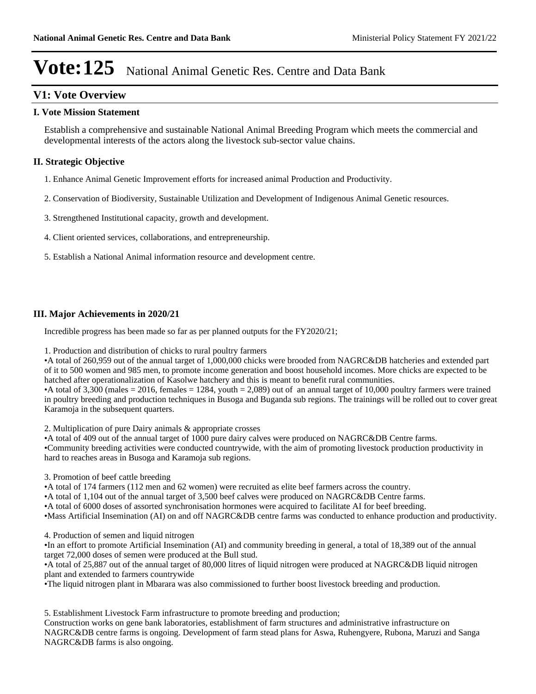# **V1: Vote Overview**

#### **I. Vote Mission Statement**

Establish a comprehensive and sustainable National Animal Breeding Program which meets the commercial and developmental interests of the actors along the livestock sub-sector value chains.

## **II. Strategic Objective**

- 1. Enhance Animal Genetic Improvement efforts for increased animal Production and Productivity.
- 2. Conservation of Biodiversity, Sustainable Utilization and Development of Indigenous Animal Genetic resources.
- 3. Strengthened Institutional capacity, growth and development.
- 4. Client oriented services, collaborations, and entrepreneurship.
- 5. Establish a National Animal information resource and development centre.

#### **III. Major Achievements in 2020/21**

Incredible progress has been made so far as per planned outputs for the FY2020/21;

1. Production and distribution of chicks to rural poultry farmers

A total of 260,959 out of the annual target of 1,000,000 chicks were brooded from NAGRC&DB hatcheries and extended part of it to 500 women and 985 men, to promote income generation and boost household incomes. More chicks are expected to be hatched after operationalization of Kasolwe hatchery and this is meant to benefit rural communities.

A total of  $3,300$  (males = 2016, females = 1284, youth = 2,089) out of an annual target of 10,000 poultry farmers were trained in poultry breeding and production techniques in Busoga and Buganda sub regions. The trainings will be rolled out to cover great Karamoja in the subsequent quarters.

2. Multiplication of pure Dairy animals & appropriate crosses

A total of 409 out of the annual target of 1000 pure dairy calves were produced on NAGRC&DB Centre farms. Community breeding activities were conducted countrywide, with the aim of promoting livestock production productivity in hard to reaches areas in Busoga and Karamoja sub regions.

3. Promotion of beef cattle breeding

A total of 174 farmers (112 men and 62 women) were recruited as elite beef farmers across the country.

A total of 1,104 out of the annual target of 3,500 beef calves were produced on NAGRC&DB Centre farms.

A total of 6000 doses of assorted synchronisation hormones were acquired to facilitate AI for beef breeding.

Mass Artificial Insemination (AI) on and off NAGRC&DB centre farms was conducted to enhance production and productivity.

4. Production of semen and liquid nitrogen

In an effort to promote Artificial Insemination (AI) and community breeding in general, a total of 18,389 out of the annual target 72,000 doses of semen were produced at the Bull stud.

A total of 25,887 out of the annual target of 80,000 litres of liquid nitrogen were produced at NAGRC&DB liquid nitrogen plant and extended to farmers countrywide

The liquid nitrogen plant in Mbarara was also commissioned to further boost livestock breeding and production.

5. Establishment Livestock Farm infrastructure to promote breeding and production;

Construction works on gene bank laboratories, establishment of farm structures and administrative infrastructure on NAGRC&DB centre farms is ongoing. Development of farm stead plans for Aswa, Ruhengyere, Rubona, Maruzi and Sanga NAGRC&DB farms is also ongoing.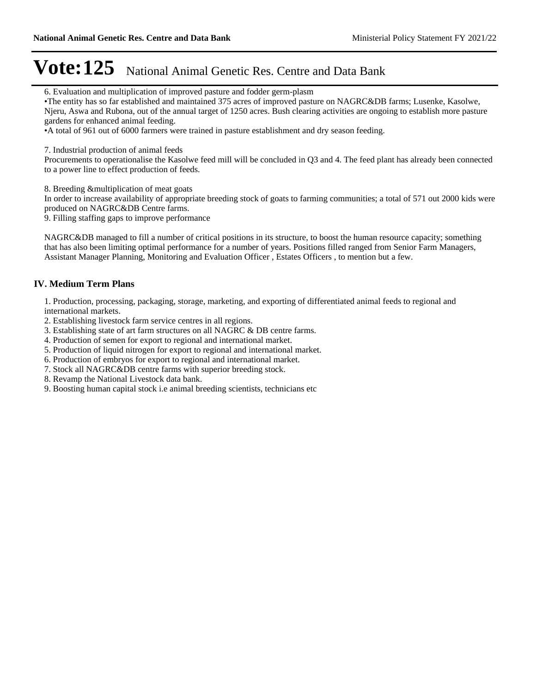6. Evaluation and multiplication of improved pasture and fodder germ-plasm

The entity has so far established and maintained 375 acres of improved pasture on NAGRC&DB farms; Lusenke, Kasolwe, Njeru, Aswa and Rubona, out of the annual target of 1250 acres. Bush clearing activities are ongoing to establish more pasture gardens for enhanced animal feeding.

A total of 961 out of 6000 farmers were trained in pasture establishment and dry season feeding.

7. Industrial production of animal feeds

Procurements to operationalise the Kasolwe feed mill will be concluded in Q3 and 4. The feed plant has already been connected to a power line to effect production of feeds.

8. Breeding &multiplication of meat goats

In order to increase availability of appropriate breeding stock of goats to farming communities; a total of 571 out 2000 kids were produced on NAGRC&DB Centre farms.

9. Filling staffing gaps to improve performance

NAGRC&DB managed to fill a number of critical positions in its structure, to boost the human resource capacity; something that has also been limiting optimal performance for a number of years. Positions filled ranged from Senior Farm Managers, Assistant Manager Planning, Monitoring and Evaluation Officer , Estates Officers , to mention but a few.

### **IV. Medium Term Plans**

1. Production, processing, packaging, storage, marketing, and exporting of differentiated animal feeds to regional and international markets.

- 2. Establishing livestock farm service centres in all regions.
- 3. Establishing state of art farm structures on all NAGRC & DB centre farms.
- 4. Production of semen for export to regional and international market.
- 5. Production of liquid nitrogen for export to regional and international market.
- 6. Production of embryos for export to regional and international market.
- 7. Stock all NAGRC&DB centre farms with superior breeding stock.
- 8. Revamp the National Livestock data bank.
- 9. Boosting human capital stock i.e animal breeding scientists, technicians etc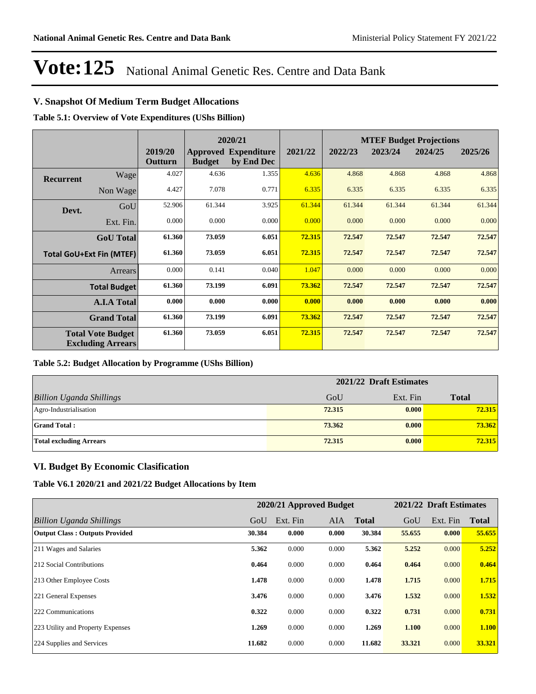# **V. Snapshot Of Medium Term Budget Allocations**

**Table 5.1: Overview of Vote Expenditures (UShs Billion)**

|           |                                                      |                    |               | 2020/21                                   |         |         |         | <b>MTEF Budget Projections</b> |         |
|-----------|------------------------------------------------------|--------------------|---------------|-------------------------------------------|---------|---------|---------|--------------------------------|---------|
|           |                                                      | 2019/20<br>Outturn | <b>Budget</b> | <b>Approved Expenditure</b><br>by End Dec | 2021/22 | 2022/23 | 2023/24 | 2024/25                        | 2025/26 |
| Recurrent | Wage                                                 | 4.027              | 4.636         | 1.355                                     | 4.636   | 4.868   | 4.868   | 4.868                          | 4.868   |
|           | Non Wage                                             | 4.427              | 7.078         | 0.771                                     | 6.335   | 6.335   | 6.335   | 6.335                          | 6.335   |
| Devt.     | GoU                                                  | 52.906             | 61.344        | 3.925                                     | 61.344  | 61.344  | 61.344  | 61.344                         | 61.344  |
|           | Ext. Fin.                                            | 0.000              | 0.000         | 0.000                                     | 0.000   | 0.000   | 0.000   | 0.000                          | 0.000   |
|           | <b>GoU</b> Total                                     | 61.360             | 73.059        | 6.051                                     | 72.315  | 72.547  | 72.547  | 72.547                         | 72.547  |
|           | <b>Total GoU+Ext Fin (MTEF)</b>                      | 61.360             | 73.059        | 6.051                                     | 72.315  | 72.547  | 72.547  | 72.547                         | 72.547  |
|           | <b>Arrears</b>                                       | 0.000              | 0.141         | 0.040                                     | 1.047   | 0.000   | 0.000   | 0.000                          | 0.000   |
|           | <b>Total Budget</b>                                  | 61.360             | 73.199        | 6.091                                     | 73.362  | 72.547  | 72.547  | 72.547                         | 72.547  |
|           | <b>A.I.A Total</b>                                   | 0.000              | 0.000         | 0.000                                     | 0.000   | 0.000   | 0.000   | 0.000                          | 0.000   |
|           | <b>Grand Total</b>                                   | 61.360             | 73.199        | 6.091                                     | 73.362  | 72.547  | 72.547  | 72.547                         | 72.547  |
|           | <b>Total Vote Budget</b><br><b>Excluding Arrears</b> | 61.360             | 73.059        | 6.051                                     | 72.315  | 72.547  | 72.547  | 72.547                         | 72.547  |

### **Table 5.2: Budget Allocation by Programme (UShs Billion)**

|                                 | 2021/22 Draft Estimates |          |              |  |
|---------------------------------|-------------------------|----------|--------------|--|
| <b>Billion Uganda Shillings</b> | GoU                     | Ext. Fin | <b>Total</b> |  |
| Agro-Industrialisation          | 72.315                  | 0.000    | 72.315       |  |
| <b>Grand Total:</b>             | 73.362                  | 0.000    | 73.362       |  |
| <b>Total excluding Arrears</b>  | 72.315                  | 0.000    | 72.315       |  |

### **VI. Budget By Economic Clasification**

**Table V6.1 2020/21 and 2021/22 Budget Allocations by Item**

|                                       |        | 2020/21 Approved Budget |            |              |        | 2021/22 Draft Estimates |              |
|---------------------------------------|--------|-------------------------|------------|--------------|--------|-------------------------|--------------|
| Billion Uganda Shillings              | GoU    | Ext. Fin                | <b>AIA</b> | <b>Total</b> | GoU    | Ext. Fin                | <b>Total</b> |
| <b>Output Class: Outputs Provided</b> | 30.384 | 0.000                   | 0.000      | 30.384       | 55.655 | 0.000                   | 55.655       |
| 211 Wages and Salaries                | 5.362  | 0.000                   | 0.000      | 5.362        | 5.252  | 0.000                   | 5.252        |
| 212 Social Contributions              | 0.464  | 0.000                   | 0.000      | 0.464        | 0.464  | 0.000                   | 0.464        |
| 213 Other Employee Costs              | 1.478  | 0.000                   | 0.000      | 1.478        | 1.715  | 0.000                   | 1.715        |
| 221 General Expenses                  | 3.476  | 0.000                   | 0.000      | 3.476        | 1.532  | 0.000                   | 1.532        |
| 222 Communications                    | 0.322  | 0.000                   | 0.000      | 0.322        | 0.731  | 0.000                   | 0.731        |
| 223 Utility and Property Expenses     | 1.269  | 0.000                   | 0.000      | 1.269        | 1.100  | 0.000                   | 1.100        |
| 224 Supplies and Services             | 11.682 | 0.000                   | 0.000      | 11.682       | 33.321 | 0.000                   | 33.321       |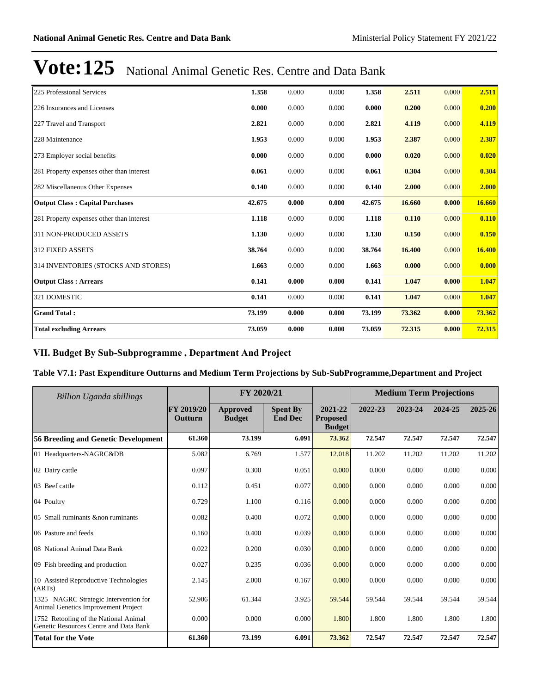| 225 Professional Services                 | 1.358  | 0.000 | 0.000 | 1.358  | 2.511  | 0.000 | 2.511  |
|-------------------------------------------|--------|-------|-------|--------|--------|-------|--------|
| 226 Insurances and Licenses               | 0.000  | 0.000 | 0.000 | 0.000  | 0.200  | 0.000 | 0.200  |
| 227 Travel and Transport                  | 2.821  | 0.000 | 0.000 | 2.821  | 4.119  | 0.000 | 4.119  |
| 228 Maintenance                           | 1.953  | 0.000 | 0.000 | 1.953  | 2.387  | 0.000 | 2.387  |
| 273 Employer social benefits              | 0.000  | 0.000 | 0.000 | 0.000  | 0.020  | 0.000 | 0.020  |
| 281 Property expenses other than interest | 0.061  | 0.000 | 0.000 | 0.061  | 0.304  | 0.000 | 0.304  |
| 282 Miscellaneous Other Expenses          | 0.140  | 0.000 | 0.000 | 0.140  | 2.000  | 0.000 | 2.000  |
| <b>Output Class: Capital Purchases</b>    | 42.675 | 0.000 | 0.000 | 42.675 | 16.660 | 0.000 | 16.660 |
| 281 Property expenses other than interest | 1.118  | 0.000 | 0.000 | 1.118  | 0.110  | 0.000 | 0.110  |
| 311 NON-PRODUCED ASSETS                   | 1.130  | 0.000 | 0.000 | 1.130  | 0.150  | 0.000 | 0.150  |
| 312 FIXED ASSETS                          | 38.764 | 0.000 | 0.000 | 38.764 | 16.400 | 0.000 | 16.400 |
| 314 INVENTORIES (STOCKS AND STORES)       | 1.663  | 0.000 | 0.000 | 1.663  | 0.000  | 0.000 | 0.000  |
| <b>Output Class: Arrears</b>              | 0.141  | 0.000 | 0.000 | 0.141  | 1.047  | 0.000 | 1.047  |
| 321 DOMESTIC                              | 0.141  | 0.000 | 0.000 | 0.141  | 1.047  | 0.000 | 1.047  |
| <b>Grand Total:</b>                       | 73.199 | 0.000 | 0.000 | 73.199 | 73.362 | 0.000 | 73.362 |
| <b>Total excluding Arrears</b>            | 73.059 | 0.000 | 0.000 | 73.059 | 72.315 | 0.000 | 72.315 |

# VII. Budget By Sub-Subprogramme, Department And Project

### **Table V7.1: Past Expenditure Outturns and Medium Term Projections by Sub-SubProgramme,Department and Project**

| <b>Billion Uganda shillings</b>                                                     |                       | FY 2020/21                |                                   |                                             | <b>Medium Term Projections</b> |         |         |         |
|-------------------------------------------------------------------------------------|-----------------------|---------------------------|-----------------------------------|---------------------------------------------|--------------------------------|---------|---------|---------|
|                                                                                     | FY 2019/20<br>Outturn | Approved<br><b>Budget</b> | <b>Spent By</b><br><b>End Dec</b> | 2021-22<br><b>Proposed</b><br><b>Budget</b> | 2022-23                        | 2023-24 | 2024-25 | 2025-26 |
| 56 Breeding and Genetic Development                                                 | 61.360                | 73.199                    | 6.091                             | 73.362                                      | 72.547                         | 72.547  | 72.547  | 72.547  |
| 01 Headquarters-NAGRC&DB                                                            | 5.082                 | 6.769                     | 1.577                             | 12.018                                      | 11.202                         | 11.202  | 11.202  | 11.202  |
| 02 Dairy cattle                                                                     | 0.097                 | 0.300                     | 0.051                             | 0.000                                       | 0.000                          | 0.000   | 0.000   | 0.000   |
| 03 Beef cattle                                                                      | 0.112                 | 0.451                     | 0.077                             | 0.000                                       | 0.000                          | 0.000   | 0.000   | 0.000   |
| 04 Poultry                                                                          | 0.729                 | 1.100                     | 0.116                             | 0.000                                       | 0.000                          | 0.000   | 0.000   | 0.000   |
| 05 Small ruminants & non ruminants                                                  | 0.082                 | 0.400                     | 0.072                             | 0.000                                       | 0.000                          | 0.000   | 0.000   | 0.000   |
| 06 Pasture and feeds                                                                | 0.160                 | 0.400                     | 0.039                             | 0.000                                       | 0.000                          | 0.000   | 0.000   | 0.000   |
| 08 National Animal Data Bank                                                        | 0.022                 | 0.200                     | 0.030                             | 0.000                                       | 0.000                          | 0.000   | 0.000   | 0.000   |
| 09 Fish breeding and production                                                     | 0.027                 | 0.235                     | 0.036                             | 0.000                                       | 0.000                          | 0.000   | 0.000   | 0.000   |
| 10 Assisted Reproductive Technologies<br>(ARTs)                                     | 2.145                 | 2.000                     | 0.167                             | 0.000                                       | 0.000                          | 0.000   | 0.000   | 0.000   |
| 1325 NAGRC Strategic Intervention for<br><b>Animal Genetics Improvement Project</b> | 52.906                | 61.344                    | 3.925                             | 59.544                                      | 59.544                         | 59.544  | 59.544  | 59.544  |
| 1752 Retooling of the National Animal<br>Genetic Resources Centre and Data Bank     | 0.000                 | 0.000                     | 0.000                             | 1.800                                       | 1.800                          | 1.800   | 1.800   | 1.800   |
| <b>Total for the Vote</b>                                                           | 61.360                | 73.199                    | 6.091                             | 73.362                                      | 72.547                         | 72.547  | 72.547  | 72.547  |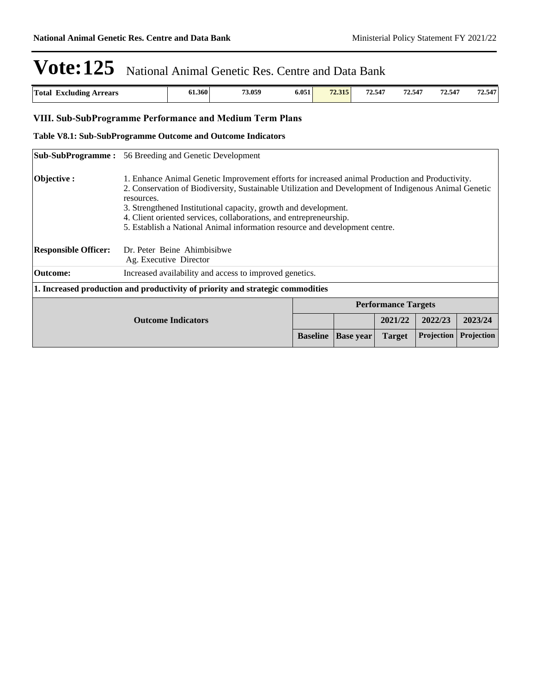| <b>Total</b><br>.<br><b>Arrears</b><br>Excluding | 61.360 | 73.059 | 6.051 | 72.315<br>12.913 | 72.547 | 72.547 | 72.547 | /2.547<br>-- |
|--------------------------------------------------|--------|--------|-------|------------------|--------|--------|--------|--------------|
| $   -$                                           |        |        |       |                  |        |        |        |              |

# VIII. Sub-SubProgramme Performance and Medium Term Plans

#### **Table V8.1: Sub-SubProgramme Outcome and Outcome Indicators**

|                             | <b>Sub-SubProgramme:</b> 56 Breeding and Genetic Development                                                                                                                                                                                                                                                                                                                                                                                   |                 |                  |                            |                   |            |
|-----------------------------|------------------------------------------------------------------------------------------------------------------------------------------------------------------------------------------------------------------------------------------------------------------------------------------------------------------------------------------------------------------------------------------------------------------------------------------------|-----------------|------------------|----------------------------|-------------------|------------|
| Objective :                 | 1. Enhance Animal Genetic Improvement efforts for increased animal Production and Productivity.<br>2. Conservation of Biodiversity, Sustainable Utilization and Development of Indigenous Animal Genetic<br>resources.<br>3. Strengthened Institutional capacity, growth and development.<br>4. Client oriented services, collaborations, and entrepreneurship.<br>5. Establish a National Animal information resource and development centre. |                 |                  |                            |                   |            |
| <b>Responsible Officer:</b> | Dr. Peter Beine Ahimbisibwe<br>Ag. Executive Director                                                                                                                                                                                                                                                                                                                                                                                          |                 |                  |                            |                   |            |
| <b>Outcome:</b>             | Increased availability and access to improved genetics.                                                                                                                                                                                                                                                                                                                                                                                        |                 |                  |                            |                   |            |
|                             | 1. Increased production and productivity of priority and strategic commodities                                                                                                                                                                                                                                                                                                                                                                 |                 |                  |                            |                   |            |
|                             |                                                                                                                                                                                                                                                                                                                                                                                                                                                |                 |                  | <b>Performance Targets</b> |                   |            |
|                             | <b>Outcome Indicators</b>                                                                                                                                                                                                                                                                                                                                                                                                                      |                 |                  | 2021/22                    | 2022/23           | 2023/24    |
|                             |                                                                                                                                                                                                                                                                                                                                                                                                                                                | <b>Baseline</b> | <b>Base year</b> | <b>Target</b>              | <b>Projection</b> | Projection |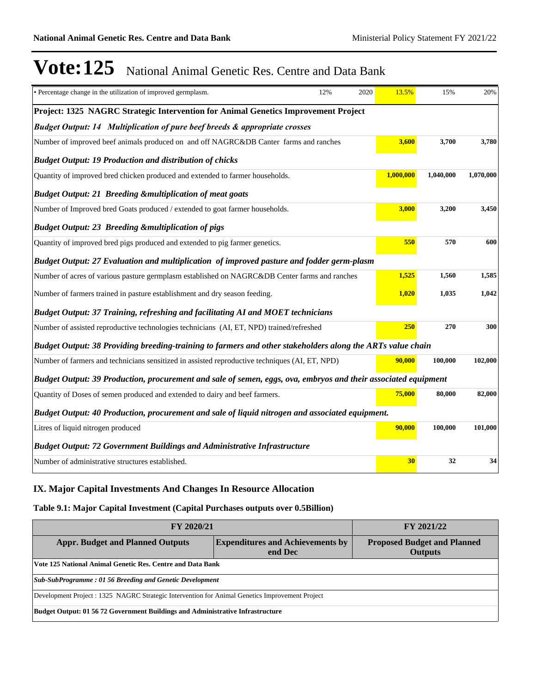| · Percentage change in the utilization of improved germplasm.                                                  | 12% | 2020 | 13.5%     | 15%       | 20%       |
|----------------------------------------------------------------------------------------------------------------|-----|------|-----------|-----------|-----------|
| Project: 1325 NAGRC Strategic Intervention for Animal Genetics Improvement Project                             |     |      |           |           |           |
| <b>Budget Output: 14 Multiplication of pure beef breeds &amp; appropriate crosses</b>                          |     |      |           |           |           |
| Number of improved beef animals produced on and off NAGRC&DB Canter farms and ranches                          |     |      | 3,600     | 3,700     | 3,780     |
| <b>Budget Output: 19 Production and distribution of chicks</b>                                                 |     |      |           |           |           |
| Quantity of improved bred chicken produced and extended to farmer households.                                  |     |      | 1,000,000 | 1,040,000 | 1,070,000 |
| <b>Budget Output: 21 Breeding &amp;multiplication of meat goats</b>                                            |     |      |           |           |           |
| Number of Improved bred Goats produced / extended to goat farmer households.                                   |     |      | 3,000     | 3,200     | 3,450     |
| <b>Budget Output: 23 Breeding &amp;multiplication of pigs</b>                                                  |     |      |           |           |           |
| Quantity of improved bred pigs produced and extended to pig farmer genetics.                                   |     |      | 550       | 570       | 600       |
| Budget Output: 27 Evaluation and multiplication of improved pasture and fodder germ-plasm                      |     |      |           |           |           |
| Number of acres of various pasture germplasm established on NAGRC&DB Center farms and ranches                  |     |      | 1,525     | 1,560     | 1,585     |
| Number of farmers trained in pasture establishment and dry season feeding.                                     |     |      | 1,020     | 1,035     | 1,042     |
| Budget Output: 37 Training, refreshing and facilitating AI and MOET technicians                                |     |      |           |           |           |
| Number of assisted reproductive technologies technicians (AI, ET, NPD) trained/refreshed                       |     |      | 250       | 270       | 300       |
| Budget Output: 38 Providing breeding-training to farmers and other stakeholders along the ARTs value chain     |     |      |           |           |           |
| Number of farmers and technicians sensitized in assisted reproductive techniques (AI, ET, NPD)                 |     |      | 90,000    | 100,000   | 102,000   |
| Budget Output: 39 Production, procurement and sale of semen, eggs, ova, embryos and their associated equipment |     |      |           |           |           |
| Quantity of Doses of semen produced and extended to dairy and beef farmers.                                    |     |      | 75,000    | 80,000    | 82,000    |
| Budget Output: 40 Production, procurement and sale of liquid nitrogen and associated equipment.                |     |      |           |           |           |
| Litres of liquid nitrogen produced                                                                             |     |      | 90,000    | 100,000   | 101,000   |
| <b>Budget Output: 72 Government Buildings and Administrative Infrastructure</b>                                |     |      |           |           |           |
| Number of administrative structures established.                                                               |     |      | 30        | 32        | 34        |

# **IX. Major Capital Investments And Changes In Resource Allocation**

## **Table 9.1: Major Capital Investment (Capital Purchases outputs over 0.5Billion)**

| <b>FY 2020/21</b>                                                                                                                                     | FY 2021/22 |  |  |  |  |
|-------------------------------------------------------------------------------------------------------------------------------------------------------|------------|--|--|--|--|
| <b>Expenditures and Achievements by</b><br><b>Appr. Budget and Planned Outputs</b><br><b>Proposed Budget and Planned</b><br>end Dec<br><b>Outputs</b> |            |  |  |  |  |
| Vote 125 National Animal Genetic Res. Centre and Data Bank                                                                                            |            |  |  |  |  |
| Sub-SubProgramme: 01 56 Breeding and Genetic Development                                                                                              |            |  |  |  |  |
| Development Project : 1325 NAGRC Strategic Intervention for Animal Genetics Improvement Project                                                       |            |  |  |  |  |
| Budget Output: 01 56 72 Government Buildings and Administrative Infrastructure                                                                        |            |  |  |  |  |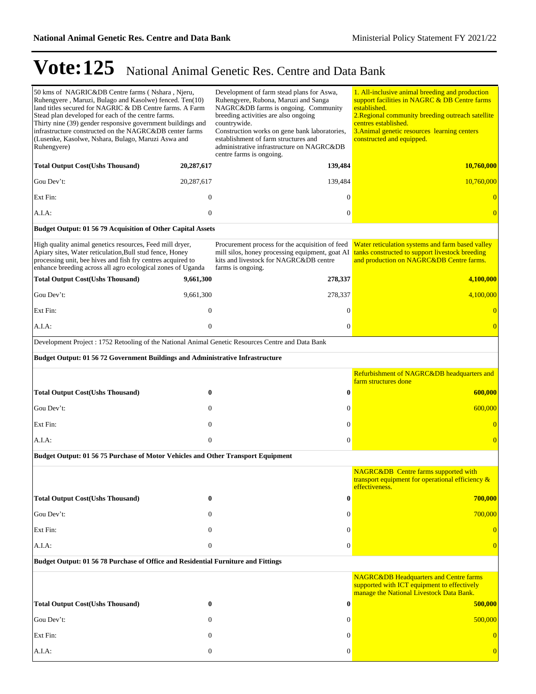| 50 kms of NAGRIC&DB Centre farms (Nshara, Njeru,<br>Ruhengyere, Maruzi, Bulago and Kasolwe) fenced. Ten(10)<br>land titles secured for NAGRIC & DB Centre farms. A Farm<br>Stead plan developed for each of the centre farms.<br>Thirty nine (39) gender responsive government buildings and<br>infrastructure constructed on the NAGRC&DB center farms<br>(Lusenke, Kasolwe, Nshara, Bulago, Maruzi Aswa and<br>Ruhengyere) |                  | Development of farm stead plans for Aswa,<br>Ruhengyere, Rubona, Maruzi and Sanga<br>NAGRC&DB farms is ongoing. Community<br>breeding activities are also ongoing<br>countrywide.<br>Construction works on gene bank laboratories,<br>establishment of farm structures and<br>administrative infrastructure on NAGRC&DB<br>centre farms is ongoing. | 1. All-inclusive animal breeding and production<br>support facilities in NAGRC & DB Centre farms<br>established.<br>2. Regional community breeding outreach satellite<br>centres established.<br>3. Animal genetic resources learning centers<br>constructed and equipped. |
|------------------------------------------------------------------------------------------------------------------------------------------------------------------------------------------------------------------------------------------------------------------------------------------------------------------------------------------------------------------------------------------------------------------------------|------------------|-----------------------------------------------------------------------------------------------------------------------------------------------------------------------------------------------------------------------------------------------------------------------------------------------------------------------------------------------------|----------------------------------------------------------------------------------------------------------------------------------------------------------------------------------------------------------------------------------------------------------------------------|
| <b>Total Output Cost(Ushs Thousand)</b>                                                                                                                                                                                                                                                                                                                                                                                      | 20,287,617       | 139,484                                                                                                                                                                                                                                                                                                                                             | 10,760,000                                                                                                                                                                                                                                                                 |
| Gou Dev't:                                                                                                                                                                                                                                                                                                                                                                                                                   | 20,287,617       | 139,484                                                                                                                                                                                                                                                                                                                                             | 10,760,000                                                                                                                                                                                                                                                                 |
| Ext Fin:                                                                                                                                                                                                                                                                                                                                                                                                                     | $\mathbf{0}$     | $\Omega$                                                                                                                                                                                                                                                                                                                                            |                                                                                                                                                                                                                                                                            |
| A.I.A:                                                                                                                                                                                                                                                                                                                                                                                                                       | $\mathbf{0}$     | $\overline{0}$                                                                                                                                                                                                                                                                                                                                      |                                                                                                                                                                                                                                                                            |
| Budget Output: 01 56 79 Acquisition of Other Capital Assets                                                                                                                                                                                                                                                                                                                                                                  |                  |                                                                                                                                                                                                                                                                                                                                                     |                                                                                                                                                                                                                                                                            |
| High quality animal genetics resources, Feed mill dryer,<br>Apiary sites, Water reticulation, Bull stud fence, Honey<br>processing unit, bee hives and fish fry centres acquired to<br>enhance breeding across all agro ecological zones of Uganda                                                                                                                                                                           |                  | Procurement process for the acquisition of feed<br>mill silos, honey processing equipment, goat AI<br>kits and livestock for NAGRC&DB centre<br>farms is ongoing.                                                                                                                                                                                   | Water reticulation systems and farm based valley<br>tanks constructed to support livestock breeding<br>and production on NAGRC&DB Centre farms.                                                                                                                            |
| <b>Total Output Cost(Ushs Thousand)</b>                                                                                                                                                                                                                                                                                                                                                                                      | 9,661,300        | 278,337                                                                                                                                                                                                                                                                                                                                             | 4,100,000                                                                                                                                                                                                                                                                  |
| Gou Dev't:                                                                                                                                                                                                                                                                                                                                                                                                                   | 9,661,300        | 278,337                                                                                                                                                                                                                                                                                                                                             | 4,100,000                                                                                                                                                                                                                                                                  |
| Ext Fin:                                                                                                                                                                                                                                                                                                                                                                                                                     | $\mathbf{0}$     | 0                                                                                                                                                                                                                                                                                                                                                   |                                                                                                                                                                                                                                                                            |
| A.I.A:                                                                                                                                                                                                                                                                                                                                                                                                                       | $\mathbf{0}$     | $\overline{0}$                                                                                                                                                                                                                                                                                                                                      | $\overline{0}$                                                                                                                                                                                                                                                             |
| Development Project : 1752 Retooling of the National Animal Genetic Resources Centre and Data Bank                                                                                                                                                                                                                                                                                                                           |                  |                                                                                                                                                                                                                                                                                                                                                     |                                                                                                                                                                                                                                                                            |
| <b>Budget Output: 01 56 72 Government Buildings and Administrative Infrastructure</b>                                                                                                                                                                                                                                                                                                                                        |                  |                                                                                                                                                                                                                                                                                                                                                     |                                                                                                                                                                                                                                                                            |
|                                                                                                                                                                                                                                                                                                                                                                                                                              |                  |                                                                                                                                                                                                                                                                                                                                                     | Refurbishment of NAGRC&DB headquarters and<br>farm structures done                                                                                                                                                                                                         |
| <b>Total Output Cost(Ushs Thousand)</b>                                                                                                                                                                                                                                                                                                                                                                                      | $\bf{0}$         | 0                                                                                                                                                                                                                                                                                                                                                   | 600,000                                                                                                                                                                                                                                                                    |
| Gou Dev't:                                                                                                                                                                                                                                                                                                                                                                                                                   | $\mathbf{0}$     | 0                                                                                                                                                                                                                                                                                                                                                   | 600,000                                                                                                                                                                                                                                                                    |
| Ext Fin:                                                                                                                                                                                                                                                                                                                                                                                                                     | $\mathbf{0}$     | $\boldsymbol{0}$                                                                                                                                                                                                                                                                                                                                    | $\overline{0}$                                                                                                                                                                                                                                                             |
| A.I.A:                                                                                                                                                                                                                                                                                                                                                                                                                       | $\mathbf{0}$     | $\overline{0}$                                                                                                                                                                                                                                                                                                                                      | $\overline{0}$                                                                                                                                                                                                                                                             |
| Budget Output: 01 56 75 Purchase of Motor Vehicles and Other Transport Equipment                                                                                                                                                                                                                                                                                                                                             |                  |                                                                                                                                                                                                                                                                                                                                                     |                                                                                                                                                                                                                                                                            |
|                                                                                                                                                                                                                                                                                                                                                                                                                              |                  |                                                                                                                                                                                                                                                                                                                                                     | <b>NAGRC&amp;DB</b> Centre farms supported with<br>transport equipment for operational efficiency &<br>effectiveness.                                                                                                                                                      |
| <b>Total Output Cost(Ushs Thousand)</b>                                                                                                                                                                                                                                                                                                                                                                                      | 0                | 0                                                                                                                                                                                                                                                                                                                                                   | 700,000                                                                                                                                                                                                                                                                    |
| Gou Dev't:                                                                                                                                                                                                                                                                                                                                                                                                                   | $\mathbf{0}$     | $\boldsymbol{0}$                                                                                                                                                                                                                                                                                                                                    | 700,000                                                                                                                                                                                                                                                                    |
| Ext Fin:                                                                                                                                                                                                                                                                                                                                                                                                                     | $\mathbf{0}$     | $\boldsymbol{0}$                                                                                                                                                                                                                                                                                                                                    | $\theta$                                                                                                                                                                                                                                                                   |
| A.I.A:                                                                                                                                                                                                                                                                                                                                                                                                                       | $\boldsymbol{0}$ | $\boldsymbol{0}$                                                                                                                                                                                                                                                                                                                                    | $\overline{0}$                                                                                                                                                                                                                                                             |
| Budget Output: 01 56 78 Purchase of Office and Residential Furniture and Fittings                                                                                                                                                                                                                                                                                                                                            |                  |                                                                                                                                                                                                                                                                                                                                                     |                                                                                                                                                                                                                                                                            |
|                                                                                                                                                                                                                                                                                                                                                                                                                              |                  |                                                                                                                                                                                                                                                                                                                                                     | <b>NAGRC&amp;DB Headquarters and Centre farms</b><br>supported with ICT equipment to effectively<br>manage the National Livestock Data Bank.                                                                                                                               |
| <b>Total Output Cost(Ushs Thousand)</b>                                                                                                                                                                                                                                                                                                                                                                                      | $\bf{0}$         | $\bf{0}$                                                                                                                                                                                                                                                                                                                                            | 500,000                                                                                                                                                                                                                                                                    |
| Gou Dev't:                                                                                                                                                                                                                                                                                                                                                                                                                   | $\mathbf{0}$     | $\Omega$                                                                                                                                                                                                                                                                                                                                            | 500,000                                                                                                                                                                                                                                                                    |
| Ext Fin:                                                                                                                                                                                                                                                                                                                                                                                                                     | $\mathbf{0}$     | $\theta$                                                                                                                                                                                                                                                                                                                                            | $\overline{0}$                                                                                                                                                                                                                                                             |
| A.I.A:                                                                                                                                                                                                                                                                                                                                                                                                                       | $\boldsymbol{0}$ | $\overline{0}$                                                                                                                                                                                                                                                                                                                                      |                                                                                                                                                                                                                                                                            |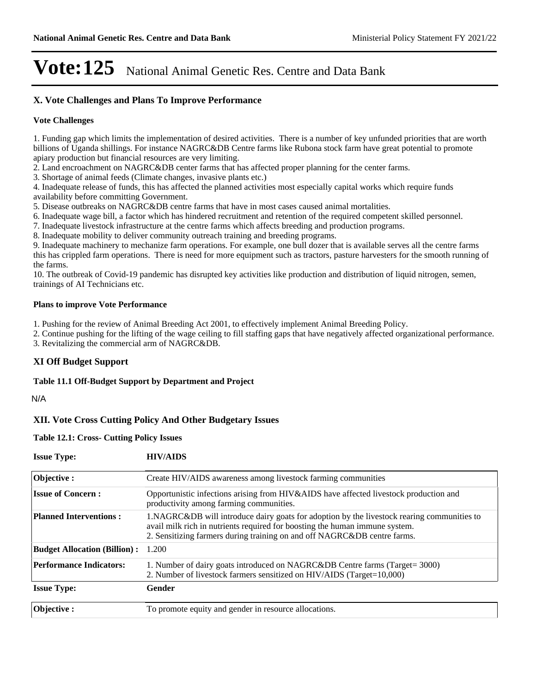## **X. Vote Challenges and Plans To Improve Performance**

#### **Vote Challenges**

1. Funding gap which limits the implementation of desired activities. There is a number of key unfunded priorities that are worth billions of Uganda shillings. For instance NAGRC&DB Centre farms like Rubona stock farm have great potential to promote apiary production but financial resources are very limiting.

2. Land encroachment on NAGRC&DB center farms that has affected proper planning for the center farms.

3. Shortage of animal feeds (Climate changes, invasive plants etc.)

4. Inadequate release of funds, this has affected the planned activities most especially capital works which require funds availability before committing Government.

5. Disease outbreaks on NAGRC&DB centre farms that have in most cases caused animal mortalities.

6. Inadequate wage bill, a factor which has hindered recruitment and retention of the required competent skilled personnel.

7. Inadequate livestock infrastructure at the centre farms which affects breeding and production programs.

8. Inadequate mobility to deliver community outreach training and breeding programs.

9. Inadequate machinery to mechanize farm operations. For example, one bull dozer that is available serves all the centre farms this has crippled farm operations. There is need for more equipment such as tractors, pasture harvesters for the smooth running of the farms.

10. The outbreak of Covid-19 pandemic has disrupted key activities like production and distribution of liquid nitrogen, semen, trainings of AI Technicians etc.

#### **Plans to improve Vote Performance**

1. Pushing for the review of Animal Breeding Act 2001, to effectively implement Animal Breeding Policy.

2. Continue pushing for the lifting of the wage ceiling to fill staffing gaps that have negatively affected organizational performance.

3. Revitalizing the commercial arm of NAGRC&DB.

### **XI Off Budget Support**

#### **Table 11.1 Off-Budget Support by Department and Project**

N/A

### **XII. Vote Cross Cutting Policy And Other Budgetary Issues**

# **Issue Type: HIV/AIDS Table 12.1: Cross- Cutting Policy Issues**

| <b>ISSUE IVDE:</b>                  | <b>HIV/AIDS</b>                                                                                                                                                                                                                                       |
|-------------------------------------|-------------------------------------------------------------------------------------------------------------------------------------------------------------------------------------------------------------------------------------------------------|
| Objective:                          | Create HIV/AIDS awareness among livestock farming communities                                                                                                                                                                                         |
| <b>Issue of Concern:</b>            | Opportunistic infections arising from HIV&AIDS have affected livestock production and<br>productivity among farming communities.                                                                                                                      |
| <b>Planned Interventions:</b>       | 1.NAGRC&DB will introduce dairy goats for adoption by the livestock rearing communities to<br>avail milk rich in nutrients required for boosting the human immune system.<br>2. Sensitizing farmers during training on and off NAGRC&DB centre farms. |
| <b>Budget Allocation (Billion):</b> | 1.200                                                                                                                                                                                                                                                 |
| <b>Performance Indicators:</b>      | 1. Number of dairy goats introduced on NAGRC&DB Centre farms (Target= 3000)<br>2. Number of livestock farmers sensitized on HIV/AIDS (Target=10,000)                                                                                                  |
| <b>Issue Type:</b>                  | Gender                                                                                                                                                                                                                                                |
| Objective:                          | To promote equity and gender in resource allocations.                                                                                                                                                                                                 |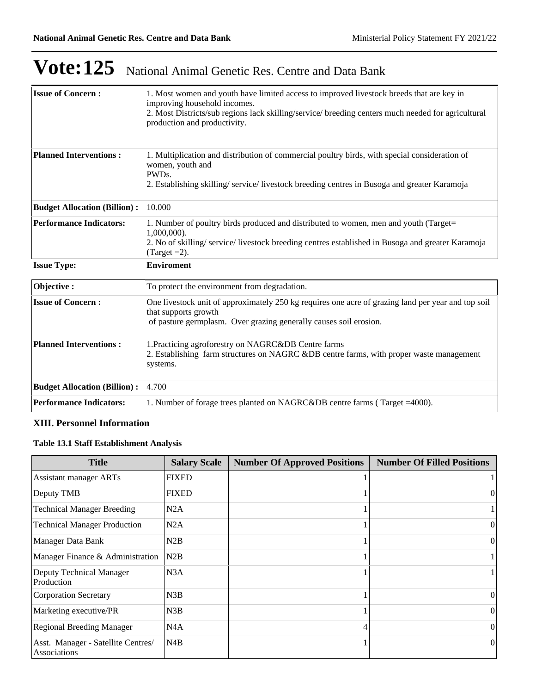| <b>Issue of Concern:</b>            | 1. Most women and youth have limited access to improved livestock breeds that are key in<br>improving household incomes.<br>2. Most Districts/sub regions lack skilling/service/ breeding centers much needed for agricultural<br>production and productivity. |
|-------------------------------------|----------------------------------------------------------------------------------------------------------------------------------------------------------------------------------------------------------------------------------------------------------------|
| <b>Planned Interventions:</b>       | 1. Multiplication and distribution of commercial poultry birds, with special consideration of<br>women, youth and<br>PWD <sub>s</sub> .<br>2. Establishing skilling/service/livestock breeding centres in Busoga and greater Karamoja                          |
| <b>Budget Allocation (Billion):</b> | 10.000                                                                                                                                                                                                                                                         |
| <b>Performance Indicators:</b>      | 1. Number of poultry birds produced and distributed to women, men and youth (Target=<br>$1,000,000$ ).<br>2. No of skilling/service/livestock breeding centres established in Busoga and greater Karamoja<br>(Target $=2$ ).                                   |
| <b>Issue Type:</b>                  | <b>Enviroment</b>                                                                                                                                                                                                                                              |
| Objective:                          | To protect the environment from degradation.                                                                                                                                                                                                                   |
| <b>Issue of Concern:</b>            | One livestock unit of approximately 250 kg requires one acre of grazing land per year and top soil<br>that supports growth<br>of pasture germplasm. Over grazing generally causes soil erosion.                                                                |
| <b>Planned Interventions:</b>       | 1. Practicing agroforestry on NAGRC&DB Centre farms<br>2. Establishing farm structures on NAGRC &DB centre farms, with proper waste management<br>systems.                                                                                                     |
| <b>Budget Allocation (Billion):</b> | 4.700                                                                                                                                                                                                                                                          |
| <b>Performance Indicators:</b>      | 1. Number of forage trees planted on NAGRC&DB centre farms (Target = 4000).                                                                                                                                                                                    |

### **XIII. Personnel Information**

## **Table 13.1 Staff Establishment Analysis**

| <b>Title</b>                                       | <b>Salary Scale</b> | <b>Number Of Approved Positions</b> | <b>Number Of Filled Positions</b> |
|----------------------------------------------------|---------------------|-------------------------------------|-----------------------------------|
| <b>Assistant manager ARTs</b>                      | <b>FIXED</b>        |                                     |                                   |
| Deputy TMB                                         | <b>FIXED</b>        |                                     | $\theta$                          |
| <b>Technical Manager Breeding</b>                  | N2A                 |                                     |                                   |
| <b>Technical Manager Production</b>                | N2A                 |                                     | $\theta$                          |
| Manager Data Bank                                  | N2B                 |                                     | $\theta$                          |
| Manager Finance & Administration                   | N2B                 |                                     |                                   |
| Deputy Technical Manager<br>Production             | N3A                 |                                     |                                   |
| Corporation Secretary                              | N3B                 |                                     | $\theta$                          |
| Marketing executive/PR                             | N3B                 |                                     | $\theta$                          |
| <b>Regional Breeding Manager</b>                   | N4A                 | 4                                   | $\theta$                          |
| Asst. Manager - Satellite Centres/<br>Associations | N4B                 |                                     | $\Omega$                          |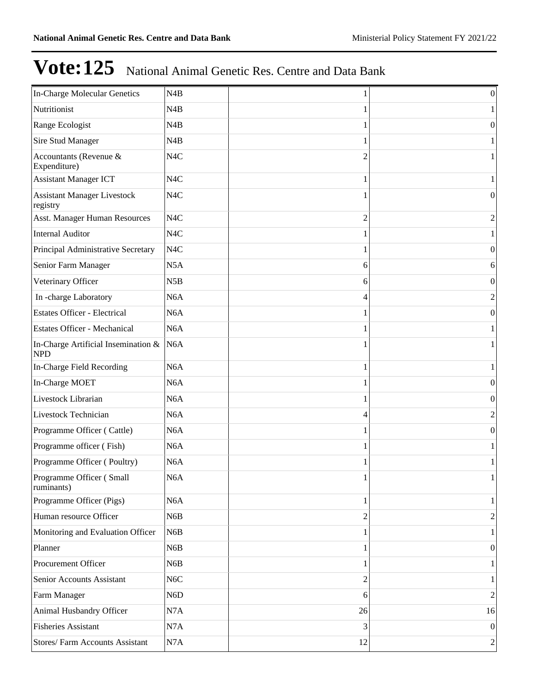| In-Charge Molecular Genetics                      | N <sub>4</sub> B |                | $\boldsymbol{0}$ |
|---------------------------------------------------|------------------|----------------|------------------|
| Nutritionist                                      | N <sub>4</sub> B |                |                  |
| Range Ecologist                                   | N <sub>4</sub> B |                | $\theta$         |
| Sire Stud Manager                                 | N <sub>4</sub> B |                |                  |
| Accountants (Revenue &<br>Expenditure)            | N <sub>4</sub> C | 2              |                  |
| <b>Assistant Manager ICT</b>                      | N <sub>4</sub> C |                |                  |
| <b>Assistant Manager Livestock</b><br>registry    | N <sub>4</sub> C |                | 0                |
| Asst. Manager Human Resources                     | N <sub>4</sub> C | $\overline{c}$ | 2                |
| <b>Internal Auditor</b>                           | N <sub>4</sub> C |                |                  |
| Principal Administrative Secretary                | N <sub>4</sub> C |                | $\boldsymbol{0}$ |
| Senior Farm Manager                               | N5A              | 6              | 6                |
| Veterinary Officer                                | N5B              | 6              | $\boldsymbol{0}$ |
| In-charge Laboratory                              | N <sub>6</sub> A | 4              | 2                |
| <b>Estates Officer - Electrical</b>               | N <sub>6</sub> A |                | $\boldsymbol{0}$ |
| <b>Estates Officer - Mechanical</b>               | N <sub>6</sub> A |                |                  |
| In-Charge Artificial Insemination &<br><b>NPD</b> | N <sub>6</sub> A |                |                  |
| In-Charge Field Recording                         | N <sub>6</sub> A | 1              |                  |
| In-Charge MOET                                    | N <sub>6</sub> A |                | 0                |
| Livestock Librarian                               | N <sub>6</sub> A |                | $\theta$         |
| Livestock Technician                              | N <sub>6</sub> A | 4              | 2                |
| Programme Officer (Cattle)                        | N <sub>6</sub> A |                | 0                |
| Programme officer (Fish)                          | N <sub>6</sub> A |                |                  |
| Programme Officer (Poultry)                       | N <sub>6</sub> A |                |                  |
| Programme Officer (Small<br>ruminants)            | N6A              | $\bf{l}$       | 1                |
| Programme Officer (Pigs)                          | N <sub>6</sub> A | 1              | 1                |
| Human resource Officer                            | N6B              | $\overline{c}$ | $\overline{2}$   |
| Monitoring and Evaluation Officer                 | N <sub>6</sub> B |                | 1                |
| Planner                                           | N <sub>6</sub> B |                | $\boldsymbol{0}$ |
| Procurement Officer                               | N6B              | 1              | 1                |
| Senior Accounts Assistant                         | N <sub>6</sub> C | $\overline{c}$ |                  |
| Farm Manager                                      | N <sub>6</sub> D | 6              | $\overline{2}$   |
| Animal Husbandry Officer                          | N7A              | 26             | 16               |
| <b>Fisheries Assistant</b>                        | N7A              | 3              | $\boldsymbol{0}$ |
| Stores/Farm Accounts Assistant                    | N7A              | 12             | $\boldsymbol{2}$ |